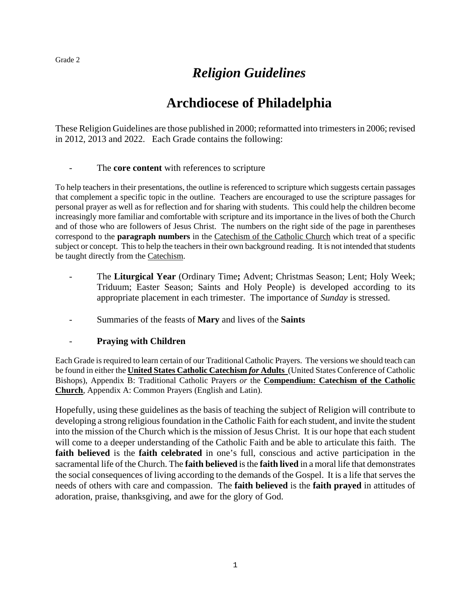## *Religion Guidelines*

## **Archdiocese of Philadelphia**

These Religion Guidelines are those published in 2000; reformatted into trimesters in 2006; revised in 2012, 2013 and 2022. Each Grade contains the following:

#### - The **core content** with references to scripture

To help teachers in their presentations, the outline is referenced to scripture which suggests certain passages that complement a specific topic in the outline. Teachers are encouraged to use the scripture passages for personal prayer as well as for reflection and for sharing with students. This could help the children become increasingly more familiar and comfortable with scripture and its importance in the lives of both the Church and of those who are followers of Jesus Christ. The numbers on the right side of the page in parentheses correspond to the **paragraph numbers** in the Catechism of the Catholic Church which treat of a specific subject or concept. This to help the teachers in their own background reading. It is not intended that students be taught directly from the Catechism.

- The **Liturgical Year** (Ordinary Time**;** Advent; Christmas Season; Lent; Holy Week; Triduum; Easter Season; Saints and Holy People) is developed according to its appropriate placement in each trimester. The importance of *Sunday* is stressed.
- Summaries of the feasts of **Mary** and lives of the **Saints**

#### - **Praying with Children**

Each Grade is required to learn certain of our Traditional Catholic Prayers. The versions we should teach can be found in either the **United States Catholic Catechism** *for* **Adults** (United States Conference of Catholic Bishops), Appendix B: Traditional Catholic Prayers *or* the **Compendium: Catechism of the Catholic Church**, Appendix A: Common Prayers (English and Latin).

Hopefully, using these guidelines as the basis of teaching the subject of Religion will contribute to developing a strong religious foundation in the Catholic Faith for each student, and invite the student into the mission of the Church which is the mission of Jesus Christ. It is our hope that each student will come to a deeper understanding of the Catholic Faith and be able to articulate this faith. The **faith believed** is the **faith celebrated** in one's full, conscious and active participation in the sacramental life of the Church. The **faith believed** is the **faith lived** in a moral life that demonstrates the social consequences of living according to the demands of the Gospel. It is a life that serves the needs of others with care and compassion. The **faith believed** is the **faith prayed** in attitudes of adoration, praise, thanksgiving, and awe for the glory of God.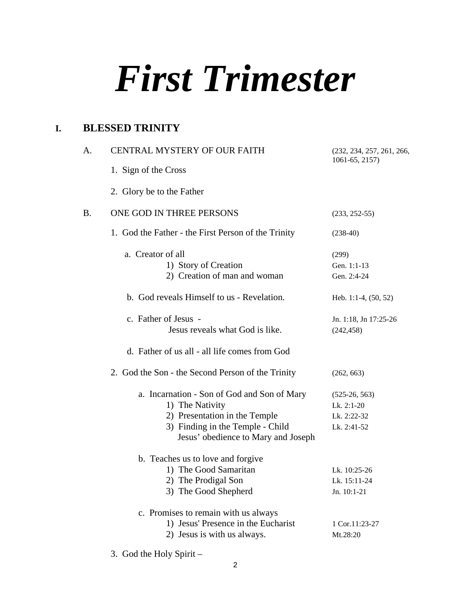## *First Trimester*

## **I. BLESSED TRINITY**

| A.        | CENTRAL MYSTERY OF OUR FAITH                                                                                                                                               | (232, 234, 257, 261, 266,<br>1061-65, 2157)                 |
|-----------|----------------------------------------------------------------------------------------------------------------------------------------------------------------------------|-------------------------------------------------------------|
|           | 1. Sign of the Cross                                                                                                                                                       |                                                             |
|           | 2. Glory be to the Father                                                                                                                                                  |                                                             |
| <b>B.</b> | ONE GOD IN THREE PERSONS                                                                                                                                                   | $(233, 252-55)$                                             |
|           | 1. God the Father - the First Person of the Trinity                                                                                                                        | $(238-40)$                                                  |
|           | a. Creator of all<br>1) Story of Creation<br>2) Creation of man and woman                                                                                                  | (299)<br>Gen. 1:1-13<br>Gen. 2:4-24                         |
|           | b. God reveals Himself to us - Revelation.                                                                                                                                 | Heb. 1:1-4, $(50, 52)$                                      |
|           | c. Father of Jesus -<br>Jesus reveals what God is like.                                                                                                                    | Jn. 1:18, Jn 17:25-26<br>(242, 458)                         |
|           | d. Father of us all - all life comes from God                                                                                                                              |                                                             |
|           | 2. God the Son - the Second Person of the Trinity                                                                                                                          | (262, 663)                                                  |
|           | a. Incarnation - Son of God and Son of Mary<br>1) The Nativity<br>2) Presentation in the Temple<br>3) Finding in the Temple - Child<br>Jesus' obedience to Mary and Joseph | $(525-26, 563)$<br>Lk. 2:1-20<br>Lk. 2:22-32<br>Lk. 2:41-52 |
|           | b. Teaches us to love and forgive<br>1) The Good Samaritan<br>2) The Prodigal Son<br>3) The Good Shepherd                                                                  | Lk. 10:25-26<br>Lk. 15:11-24<br>Jn. 10:1-21                 |
|           | c. Promises to remain with us always<br>1) Jesus' Presence in the Eucharist<br>2) Jesus is with us always.                                                                 | 1 Cor.11:23-27<br>Mt.28:20                                  |

3. God the Holy Spirit –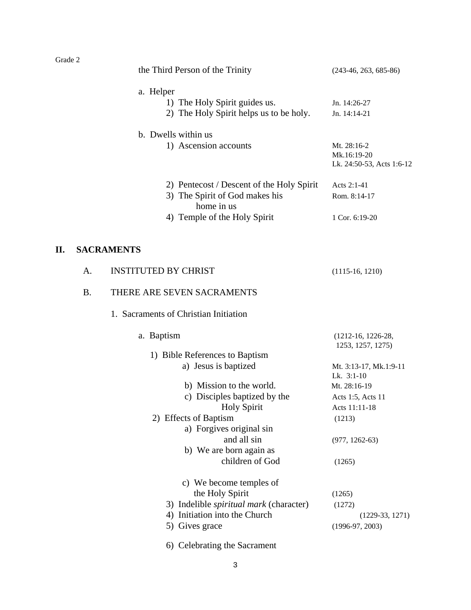| the Third Person of the Trinity           | $(243-46, 263, 685-86)$   |
|-------------------------------------------|---------------------------|
| a. Helper                                 |                           |
| 1) The Holy Spirit guides us.             | Jn. $14:26-27$            |
| 2) The Holy Spirit helps us to be holy.   | Jn. $14:14-21$            |
| b. Dwells within us                       |                           |
| 1) Ascension accounts                     | Mt. 28:16-2               |
|                                           | Mk.16:19-20               |
|                                           | Lk. 24:50-53, Acts 1:6-12 |
| 2) Pentecost / Descent of the Holy Spirit | Acts $2:1-41$             |
| 3) The Spirit of God makes his            | Rom. 8:14-17              |
| home in us                                |                           |
| 4) Temple of the Holy Spirit              | 1 Cor. $6:19-20$          |
|                                           |                           |

## **II. SACRAMENTS**

| A.        | <b>INSTITUTED BY CHRIST</b>                    | $(1115-16, 1210)$                         |
|-----------|------------------------------------------------|-------------------------------------------|
| <b>B.</b> | THERE ARE SEVEN SACRAMENTS                     |                                           |
|           | 1. Sacraments of Christian Initiation          |                                           |
|           | a. Baptism                                     | $(1212-16, 1226-28,$<br>1253, 1257, 1275) |
|           | 1) Bible References to Baptism                 |                                           |
|           | a) Jesus is baptized                           | Mt. 3:13-17, Mk.1:9-11<br>Lk. 3:1-10      |
|           | b) Mission to the world.                       | Mt. 28:16-19                              |
|           | c) Disciples baptized by the                   | Acts 1:5, Acts 11                         |
|           | <b>Holy Spirit</b>                             | Acts 11:11-18                             |
|           | 2) Effects of Baptism                          | (1213)                                    |
|           | a) Forgives original sin                       |                                           |
|           | and all sin                                    | $(977, 1262-63)$                          |
|           | b) We are born again as                        |                                           |
|           | children of God                                | (1265)                                    |
|           | c) We become temples of                        |                                           |
|           | the Holy Spirit                                | (1265)                                    |
|           | 3) Indelible <i>spiritual mark</i> (character) | (1272)                                    |
|           | Initiation into the Church<br>4)               | $(1229-33, 1271)$                         |
|           | 5) Gives grace                                 | $(1996-97, 2003)$                         |
|           |                                                |                                           |

6) Celebrating the Sacrament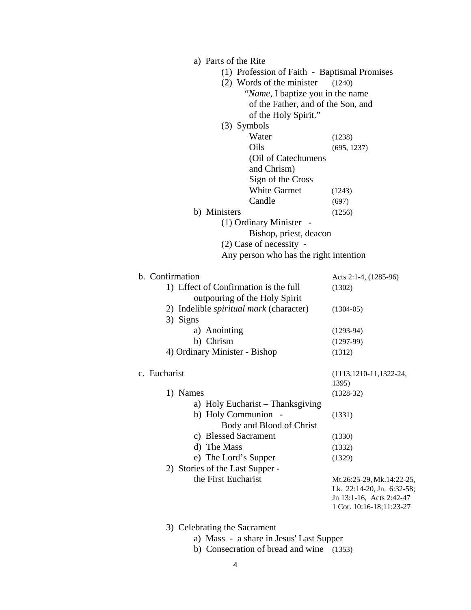| a) Parts of the Rite                           |                                                                                                                 |
|------------------------------------------------|-----------------------------------------------------------------------------------------------------------------|
| (1) Profession of Faith - Baptismal Promises   |                                                                                                                 |
| (2) Words of the minister                      | (1240)                                                                                                          |
| "Name, I baptize you in the name               |                                                                                                                 |
| of the Father, and of the Son, and             |                                                                                                                 |
| of the Holy Spirit."                           |                                                                                                                 |
| $(3)$ Symbols                                  |                                                                                                                 |
| Water                                          | (1238)                                                                                                          |
| Oils                                           | (695, 1237)                                                                                                     |
| (Oil of Catechumens                            |                                                                                                                 |
| and Chrism)                                    |                                                                                                                 |
| Sign of the Cross                              |                                                                                                                 |
| <b>White Garmet</b>                            | (1243)                                                                                                          |
| Candle                                         | (697)                                                                                                           |
| b) Ministers                                   | (1256)                                                                                                          |
| (1) Ordinary Minister -                        |                                                                                                                 |
| Bishop, priest, deacon                         |                                                                                                                 |
| $(2)$ Case of necessity -                      |                                                                                                                 |
| Any person who has the right intention         |                                                                                                                 |
| b. Confirmation                                | Acts 2:1-4, (1285-96)                                                                                           |
| 1) Effect of Confirmation is the full          | (1302)                                                                                                          |
| outpouring of the Holy Spirit                  |                                                                                                                 |
| 2) Indelible <i>spiritual mark</i> (character) | $(1304-05)$                                                                                                     |
| 3) Signs                                       |                                                                                                                 |
| a) Anointing                                   | $(1293-94)$                                                                                                     |
| b) Chrism                                      | $(1297-99)$                                                                                                     |
| 4) Ordinary Minister - Bishop                  | (1312)                                                                                                          |
| c. Eucharist                                   | $(1113, 1210-11, 1322-24,$                                                                                      |
|                                                | 1395)                                                                                                           |
| 1) Names                                       | $(1328-32)$                                                                                                     |
| a) Holy Eucharist - Thanksgiving               |                                                                                                                 |
| b) Holy Communion -                            | (1331)                                                                                                          |
| Body and Blood of Christ                       |                                                                                                                 |
| c) Blessed Sacrament                           | (1330)                                                                                                          |
| d) The Mass                                    | (1332)                                                                                                          |
| e) The Lord's Supper                           | (1329)                                                                                                          |
| 2) Stories of the Last Supper -                |                                                                                                                 |
| the First Eucharist                            | Mt.26:25-29, Mk.14:22-25,<br>Lk. 22:14-20, Jn. 6:32-58;<br>Jn 13:1-16, Acts 2:42-47<br>1 Cor. 10:16-18;11:23-27 |

3) Celebrating the Sacrament

- a) Mass a share in Jesus' Last Supper
- b) Consecration of bread and wine (1353)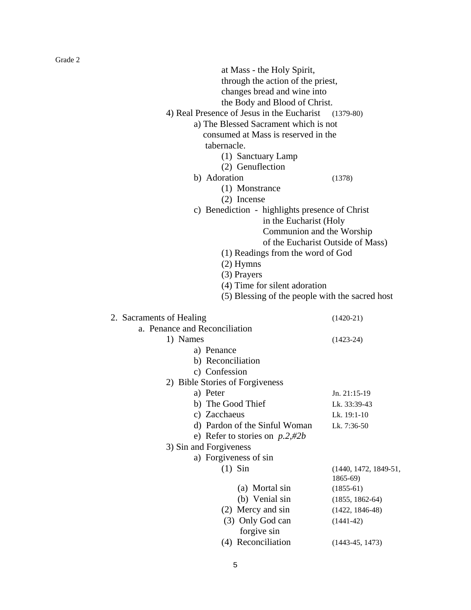| at Mass - the Holy Spirit,                      |                                   |
|-------------------------------------------------|-----------------------------------|
| through the action of the priest,               |                                   |
| changes bread and wine into                     |                                   |
| the Body and Blood of Christ.                   |                                   |
| 4) Real Presence of Jesus in the Eucharist      | $(1379-80)$                       |
| a) The Blessed Sacrament which is not           |                                   |
| consumed at Mass is reserved in the             |                                   |
| tabernacle.                                     |                                   |
| (1) Sanctuary Lamp                              |                                   |
| (2) Genuflection                                |                                   |
| b) Adoration                                    | (1378)                            |
| (1) Monstrance                                  |                                   |
| $(2)$ Incense                                   |                                   |
| c) Benediction - highlights presence of Christ  |                                   |
| in the Eucharist (Holy                          |                                   |
| Communion and the Worship                       |                                   |
|                                                 | of the Eucharist Outside of Mass) |
| (1) Readings from the word of God               |                                   |
| $(2)$ Hymns                                     |                                   |
| (3) Prayers                                     |                                   |
| (4) Time for silent adoration                   |                                   |
| (5) Blessing of the people with the sacred host |                                   |
|                                                 |                                   |
| 2. Sacraments of Healing                        | $(1420-21)$                       |
| a. Penance and Reconciliation                   |                                   |
|                                                 |                                   |
| 1) Names                                        | $(1423-24)$                       |
| a) Penance                                      |                                   |
| b) Reconciliation                               |                                   |
| c) Confession                                   |                                   |
|                                                 |                                   |
| 2) Bible Stories of Forgiveness<br>a) Peter     | Jn. 21:15-19                      |
| b) The Good Thief                               | Lk. 33:39-43                      |
| c) Zacchaeus                                    | Lk. 19:1-10                       |
| d) Pardon of the Sinful Woman                   | Lk. 7:36-50                       |
| e) Refer to stories on $p.2, \#2b$              |                                   |
| 3) Sin and Forgiveness                          |                                   |
| a) Forgiveness of sin                           |                                   |
| $(1)$ Sin                                       | $(1440, 1472, 1849-51,$           |
|                                                 | 1865-69)                          |
| (a) Mortal sin                                  | $(1855-61)$                       |
| (b) Venial sin                                  | $(1855, 1862-64)$                 |
| (2) Mercy and sin                               | $(1422, 1846-48)$                 |
| (3) Only God can                                | $(1441-42)$                       |
| forgive sin                                     |                                   |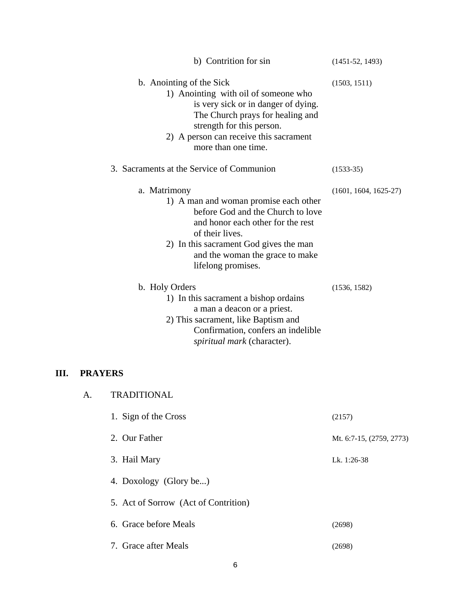|      |                | b) Contrition for sin                                                                                                                                                                                                                                 | $(1451-52, 1493)$        |
|------|----------------|-------------------------------------------------------------------------------------------------------------------------------------------------------------------------------------------------------------------------------------------------------|--------------------------|
|      |                | b. Anointing of the Sick<br>1) Anointing with oil of someone who<br>is very sick or in danger of dying.<br>The Church prays for healing and<br>strength for this person.<br>2) A person can receive this sacrament<br>more than one time.             | (1503, 1511)             |
|      |                | 3. Sacraments at the Service of Communion                                                                                                                                                                                                             | $(1533-35)$              |
|      |                | a. Matrimony<br>1) A man and woman promise each other<br>before God and the Church to love<br>and honor each other for the rest<br>of their lives.<br>2) In this sacrament God gives the man<br>and the woman the grace to make<br>lifelong promises. | $(1601, 1604, 1625-27)$  |
|      |                | b. Holy Orders<br>1) In this sacrament a bishop ordains<br>a man a deacon or a priest.<br>2) This sacrament, like Baptism and<br>Confirmation, confers an indelible<br>spiritual mark (character).                                                    | (1536, 1582)             |
| III. | <b>PRAYERS</b> |                                                                                                                                                                                                                                                       |                          |
|      | А.             | <b>TRADITIONAL</b>                                                                                                                                                                                                                                    |                          |
|      |                | 1. Sign of the Cross                                                                                                                                                                                                                                  | (2157)                   |
|      |                | 2. Our Father                                                                                                                                                                                                                                         | Mt. 6:7-15, (2759, 2773) |
|      |                | 3. Hail Mary                                                                                                                                                                                                                                          | Lk. 1:26-38              |
|      |                | 4. Doxology (Glory be)                                                                                                                                                                                                                                |                          |
|      |                | 5. Act of Sorrow (Act of Contrition)                                                                                                                                                                                                                  |                          |
|      |                | 6. Grace before Meals                                                                                                                                                                                                                                 | (2698)                   |
|      |                | 7. Grace after Meals                                                                                                                                                                                                                                  | (2698)                   |

6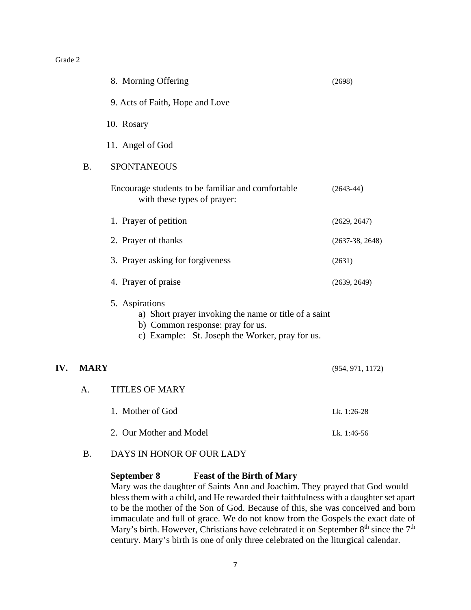|     |             | 8. Morning Offering                                                                                                                                            | (2698)            |
|-----|-------------|----------------------------------------------------------------------------------------------------------------------------------------------------------------|-------------------|
|     |             | 9. Acts of Faith, Hope and Love                                                                                                                                |                   |
|     |             | 10. Rosary                                                                                                                                                     |                   |
|     |             | 11. Angel of God                                                                                                                                               |                   |
|     | <b>B.</b>   | <b>SPONTANEOUS</b>                                                                                                                                             |                   |
|     |             | Encourage students to be familiar and comfortable<br>with these types of prayer:                                                                               | $(2643-44)$       |
|     |             | 1. Prayer of petition                                                                                                                                          | (2629, 2647)      |
|     |             | 2. Prayer of thanks                                                                                                                                            | $(2637-38, 2648)$ |
|     |             | 3. Prayer asking for forgiveness                                                                                                                               | (2631)            |
|     |             | 4. Prayer of praise                                                                                                                                            | (2639, 2649)      |
|     |             | 5. Aspirations<br>a) Short prayer invoking the name or title of a saint<br>b) Common response: pray for us.<br>c) Example: St. Joseph the Worker, pray for us. |                   |
| IV. | <b>MARY</b> |                                                                                                                                                                | (954, 971, 1172)  |
|     | A.          | <b>TITLES OF MARY</b>                                                                                                                                          |                   |
|     |             | 1. Mother of God                                                                                                                                               | Lk. 1:26-28       |
|     |             | 2. Our Mother and Model                                                                                                                                        | Lk. 1:46-56       |

B. DAYS IN HONOR OF OUR LADY

#### **September 8 Feast of the Birth of Mary**

Mary was the daughter of Saints Ann and Joachim. They prayed that God would bless them with a child, and He rewarded their faithfulness with a daughter set apart to be the mother of the Son of God. Because of this, she was conceived and born immaculate and full of grace. We do not know from the Gospels the exact date of Mary's birth. However, Christians have celebrated it on September  $8<sup>th</sup>$  since the  $7<sup>th</sup>$ century. Mary's birth is one of only three celebrated on the liturgical calendar.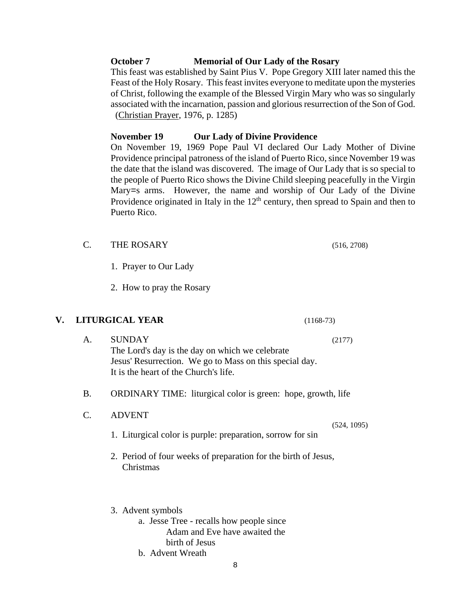#### **October 7 Memorial of Our Lady of the Rosary**

This feast was established by Saint Pius V. Pope Gregory XIII later named this the Feast of the Holy Rosary. This feast invites everyone to meditate upon the mysteries of Christ, following the example of the Blessed Virgin Mary who was so singularly associated with the incarnation, passion and glorious resurrection of the Son of God. (Christian Prayer, 1976, p. 1285)

#### **November 19 Our Lady of Divine Providence**

On November 19, 1969 Pope Paul VI declared Our Lady Mother of Divine Providence principal patroness of the island of Puerto Rico, since November 19 was the date that the island was discovered. The image of Our Lady that is so special to the people of Puerto Rico shows the Divine Child sleeping peacefully in the Virgin Mary=s arms. However, the name and worship of Our Lady of the Divine Providence originated in Italy in the  $12<sup>th</sup>$  century, then spread to Spain and then to Puerto Rico.

- C. THE ROSARY (516, 2708)
	- 1. Prayer to Our Lady

2. How to pray the Rosary

#### **V. LITURGICAL YEAR** (1168-73)

- A. SUNDAY (2177) The Lord's day is the day on which we celebrate Jesus' Resurrection. We go to Mass on this special day. It is the heart of the Church's life.
- B. ORDINARY TIME: liturgical color is green: hope, growth, life
- C. ADVENT
	- 1. Liturgical color is purple: preparation, sorrow for sin
	- 2. Period of four weeks of preparation for the birth of Jesus, Christmas
	- 3. Advent symbols
		- a. Jesse Tree recalls how people since Adam and Eve have awaited the birth of Jesus
		- b. Advent Wreath

(524, 1095)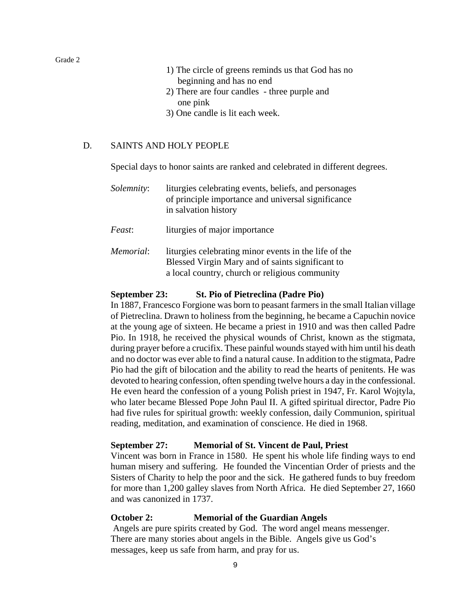- 1) The circle of greens reminds us that God has no beginning and has no end
- 2) There are four candles three purple and one pink
- 3) One candle is lit each week.

#### D. SAINTS AND HOLY PEOPLE

Special days to honor saints are ranked and celebrated in different degrees.

| <i>Solemnity:</i> | liturgies celebrating events, beliefs, and personages<br>of principle importance and universal significance<br>in salvation history |
|-------------------|-------------------------------------------------------------------------------------------------------------------------------------|
| <i>Feast</i> :    | liturgies of major importance                                                                                                       |

*Memorial*: liturgies celebrating minor events in the life of the Blessed Virgin Mary and of saints significant to a local country, church or religious community

#### **September 23: St. Pio of Pietreclina (Padre Pio)**

In 1887, Francesco Forgione was born to peasant farmers in the small Italian village of Pietreclina. Drawn to holiness from the beginning, he became a Capuchin novice at the young age of sixteen. He became a priest in 1910 and was then called Padre Pio. In 1918, he received the physical wounds of Christ, known as the stigmata, during prayer before a crucifix. These painful wounds stayed with him until his death and no doctor was ever able to find a natural cause. In addition to the stigmata, Padre Pio had the gift of bilocation and the ability to read the hearts of penitents. He was devoted to hearing confession, often spending twelve hours a day in the confessional. He even heard the confession of a young Polish priest in 1947, Fr. Karol Wojtyla, who later became Blessed Pope John Paul II. A gifted spiritual director, Padre Pio had five rules for spiritual growth: weekly confession, daily Communion, spiritual reading, meditation, and examination of conscience. He died in 1968.

#### **September 27: Memorial of St. Vincent de Paul, Priest**

Vincent was born in France in 1580. He spent his whole life finding ways to end human misery and suffering. He founded the Vincentian Order of priests and the Sisters of Charity to help the poor and the sick. He gathered funds to buy freedom for more than 1,200 galley slaves from North Africa. He died September 27, 1660 and was canonized in 1737.

#### **October 2: Memorial of the Guardian Angels**

Angels are pure spirits created by God. The word angel means messenger. There are many stories about angels in the Bible. Angels give us God's messages, keep us safe from harm, and pray for us.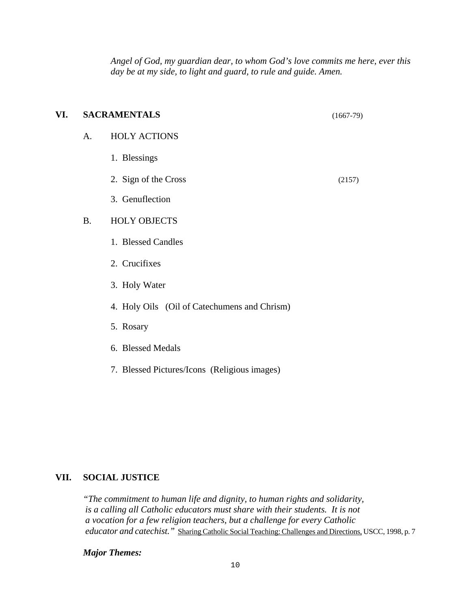*Angel of God, my guardian dear, to whom God's love commits me here, ever this day be at my side, to light and guard, to rule and guide. Amen.*

| VI. |           | <b>SACRAMENTALS</b>                          | $(1667-79)$ |
|-----|-----------|----------------------------------------------|-------------|
|     | A.        | <b>HOLY ACTIONS</b>                          |             |
|     |           | 1. Blessings                                 |             |
|     |           | 2. Sign of the Cross                         | (2157)      |
|     |           | 3. Genuflection                              |             |
|     | <b>B.</b> | <b>HOLY OBJECTS</b>                          |             |
|     |           | 1. Blessed Candles                           |             |
|     |           | 2. Crucifixes                                |             |
|     |           | 3. Holy Water                                |             |
|     |           | 4. Holy Oils (Oil of Catechumens and Chrism) |             |
|     |           | 5. Rosary                                    |             |
|     |           |                                              |             |

- 6. Blessed Medals
- 7. Blessed Pictures/Icons (Religious images)

#### **VII. SOCIAL JUSTICE**

*"The commitment to human life and dignity, to human rights and solidarity, is a calling all Catholic educators must share with their students. It is not a vocation for a few religion teachers, but a challenge for every Catholic educator and catechist."* Sharing Catholic Social Teaching: Challenges and Directions*,* USCC, 1998, p. 7

*Major Themes:*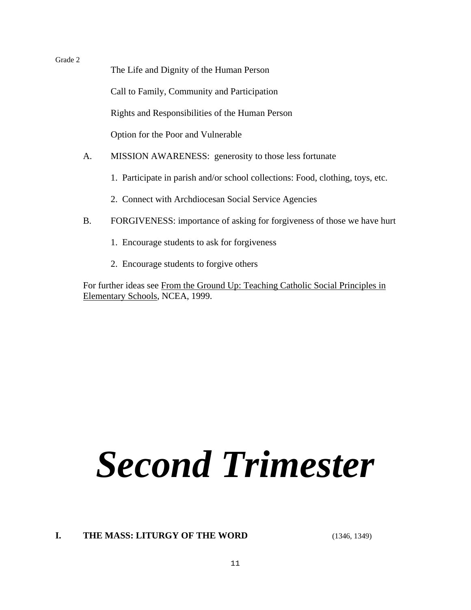The Life and Dignity of the Human Person

Call to Family, Community and Participation

Rights and Responsibilities of the Human Person

Option for the Poor and Vulnerable

- A. MISSION AWARENESS: generosity to those less fortunate
	- 1. Participate in parish and/or school collections: Food, clothing, toys, etc.
	- 2. Connect with Archdiocesan Social Service Agencies
- B. FORGIVENESS: importance of asking for forgiveness of those we have hurt
	- 1. Encourage students to ask for forgiveness
	- 2. Encourage students to forgive others

For further ideas see From the Ground Up: Teaching Catholic Social Principles in Elementary Schools, NCEA, 1999.

# *Second Trimester*

## **I.** THE MASS: LITURGY OF THE WORD (1346, 1349)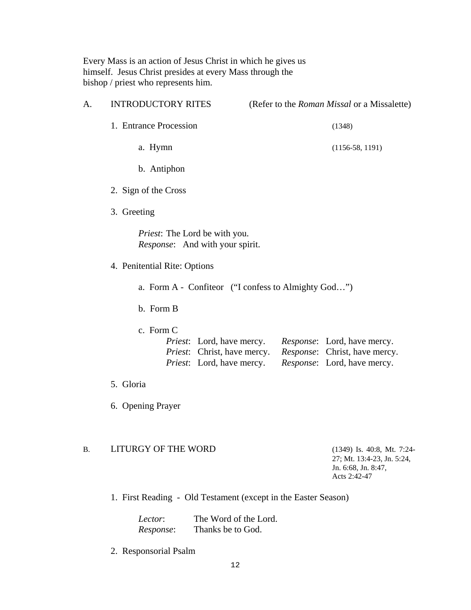Every Mass is an action of Jesus Christ in which he gives us himself. Jesus Christ presides at every Mass through the bishop / priest who represents him.

| A. | <b>INTRODUCTORY RITES</b>                                                                                                 | (Refer to the Roman Missal or a Missalette)                                                         |
|----|---------------------------------------------------------------------------------------------------------------------------|-----------------------------------------------------------------------------------------------------|
|    | 1. Entrance Procession                                                                                                    | (1348)                                                                                              |
|    | a. Hymn                                                                                                                   | $(1156-58, 1191)$                                                                                   |
|    | b. Antiphon                                                                                                               |                                                                                                     |
|    | 2. Sign of the Cross                                                                                                      |                                                                                                     |
|    | 3. Greeting                                                                                                               |                                                                                                     |
|    | <i>Priest</i> : The Lord be with you.<br><i>Response</i> : And with your spirit.                                          |                                                                                                     |
|    | 4. Penitential Rite: Options                                                                                              |                                                                                                     |
|    |                                                                                                                           | a. Form A - Confiteor ("I confess to Almighty God")                                                 |
|    | b. Form B                                                                                                                 |                                                                                                     |
|    | c. Form C<br><i>Priest</i> : Lord, have mercy.<br><i>Priest:</i> Christ, have mercy.<br><i>Priest</i> : Lord, have mercy. | <i>Response</i> : Lord, have mercy.<br>Response: Christ, have mercy.<br>Response: Lord, have mercy. |
|    | 5. Gloria                                                                                                                 |                                                                                                     |
|    | 6. Opening Prayer                                                                                                         |                                                                                                     |
| В. | LITURGY OF THE WORD                                                                                                       | $(1349)$ Is. 40:8, Mt. 7:24-<br>27; Mt. 13:4-23, Jn. 5:24,<br>Jn. 6:68, Jn. 8:47,<br>Acts 2:42-47   |
|    | 1. First Reading - Old Testament (except in the Easter Season)                                                            |                                                                                                     |

*Lector*: The Word of the Lord. *Response*: Thanks be to God.

2. Responsorial Psalm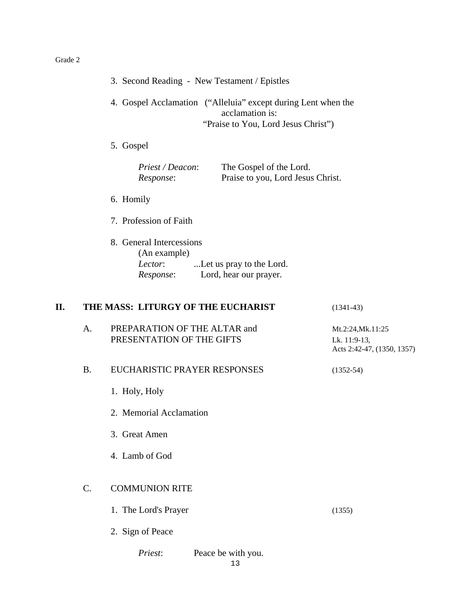|    |           | 3. Second Reading - New Testament / Epistles                                                                            |                                                                 |
|----|-----------|-------------------------------------------------------------------------------------------------------------------------|-----------------------------------------------------------------|
|    |           | 4. Gospel Acclamation ("Alleluia" except during Lent when the<br>acclamation is:<br>"Praise to You, Lord Jesus Christ") |                                                                 |
|    |           | 5. Gospel                                                                                                               |                                                                 |
|    |           | Priest / Deacon:<br>The Gospel of the Lord.<br>Praise to you, Lord Jesus Christ.<br>Response:                           |                                                                 |
|    |           | 6. Homily                                                                                                               |                                                                 |
|    |           | 7. Profession of Faith                                                                                                  |                                                                 |
|    |           | 8. General Intercessions<br>(An example)<br>Let us pray to the Lord.<br>Lector:<br>Lord, hear our prayer.<br>Response:  |                                                                 |
| П. |           | THE MASS: LITURGY OF THE EUCHARIST                                                                                      | $(1341-43)$                                                     |
|    | A.        | PREPARATION OF THE ALTAR and<br>PRESENTATION OF THE GIFTS                                                               | Mt.2:24, Mk.11:25<br>Lk. 11:9-13,<br>Acts 2:42-47, (1350, 1357) |
|    | <b>B.</b> | EUCHARISTIC PRAYER RESPONSES                                                                                            | $(1352 - 54)$                                                   |
|    |           | 1. Holy, Holy                                                                                                           |                                                                 |
|    |           | 2. Memorial Acclamation                                                                                                 |                                                                 |
|    |           | 3. Great Amen                                                                                                           |                                                                 |
|    |           | 4. Lamb of God                                                                                                          |                                                                 |
|    | C.        | <b>COMMUNION RITE</b>                                                                                                   |                                                                 |
|    |           | 1. The Lord's Prayer                                                                                                    | (1355)                                                          |
|    |           | 2. Sign of Peace                                                                                                        |                                                                 |
|    |           | Priest:<br>Peace be with you.                                                                                           |                                                                 |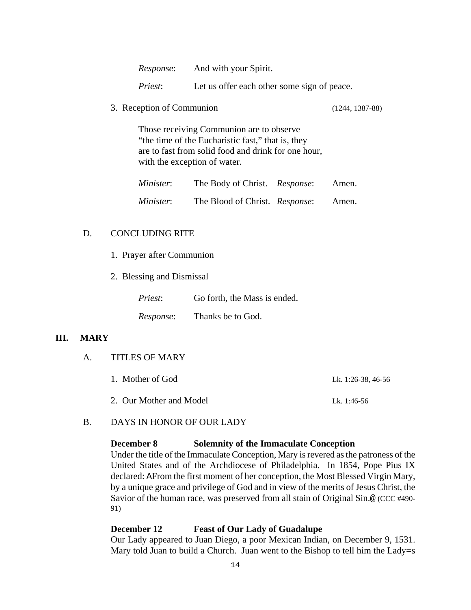| Response: | And with your Spirit. |
|-----------|-----------------------|
|-----------|-----------------------|

*Priest*: Let us offer each other some sign of peace.

3. Reception of Communion (1244, 1387-88)

Those receiving Communion are to observe "the time of the Eucharistic fast," that is, they are to fast from solid food and drink for one hour, with the exception of water.

| Minister:        | The Body of Christ. Response:  | Amen. |
|------------------|--------------------------------|-------|
| <i>Minister:</i> | The Blood of Christ. Response: | Amen. |

#### D. CONCLUDING RITE

- 1. Prayer after Communion
- 2. Blessing and Dismissal

| <i>Priest:</i> | Go forth, the Mass is ended. |
|----------------|------------------------------|
| Response:      | Thanks be to God.            |

#### **III. MARY**

#### A. TITLES OF MARY

| 1. Mother of God        | Lk. 1:26-38, 46-56 |
|-------------------------|--------------------|
| 2. Our Mother and Model | Lk. 1:46-56        |

#### B. DAYS IN HONOR OF OUR LADY

#### **December 8 Solemnity of the Immaculate Conception**

Under the title of the Immaculate Conception, Mary is revered as the patroness of the United States and of the Archdiocese of Philadelphia. In 1854, Pope Pius IX declared: AFrom the first moment of her conception, the Most Blessed Virgin Mary, by a unique grace and privilege of God and in view of the merits of Jesus Christ, the Savior of the human race, was preserved from all stain of Original Sin.@ (CCC #490- 91)

#### **December 12 Feast of Our Lady of Guadalupe**

Our Lady appeared to Juan Diego, a poor Mexican Indian, on December 9, 1531. Mary told Juan to build a Church. Juan went to the Bishop to tell him the Lady=s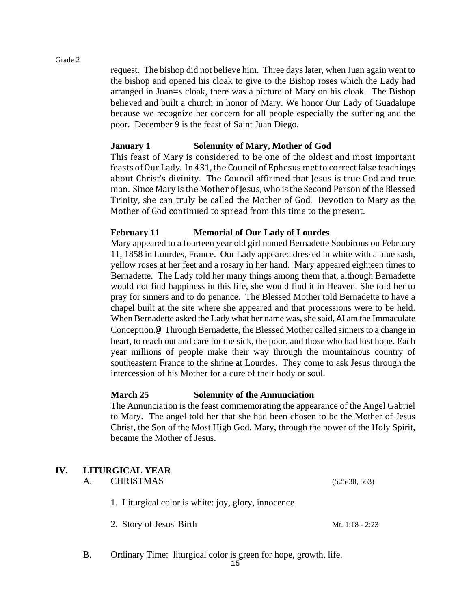request. The bishop did not believe him. Three days later, when Juan again went to the bishop and opened his cloak to give to the Bishop roses which the Lady had arranged in Juan=s cloak, there was a picture of Mary on his cloak. The Bishop believed and built a church in honor of Mary. We honor Our Lady of Guadalupe because we recognize her concern for all people especially the suffering and the poor. December 9 is the feast of Saint Juan Diego.

## **January 1 Solemnity of Mary, Mother of God**

This feast of Mary is considered to be one of the oldest and most important feasts of Our Lady. In 431, the Council of Ephesus met to correct false teachings about Christ's divinity. The Council affirmed that Jesus is true God and true man. Since Mary is the Mother of Jesus, who is the Second Person of the Blessed Trinity, she can truly be called the Mother of God. Devotion to Mary as the Mother of God continued to spread from this time to the present.

## **February 11 Memorial of Our Lady of Lourdes**

Mary appeared to a fourteen year old girl named Bernadette Soubirous on February 11, 1858 in Lourdes, France. Our Lady appeared dressed in white with a blue sash, yellow roses at her feet and a rosary in her hand. Mary appeared eighteen times to Bernadette. The Lady told her many things among them that, although Bernadette would not find happiness in this life, she would find it in Heaven. She told her to pray for sinners and to do penance. The Blessed Mother told Bernadette to have a chapel built at the site where she appeared and that processions were to be held. When Bernadette asked the Lady what her name was, she said, AI am the Immaculate Conception.@ Through Bernadette, the Blessed Mother called sinners to a change in heart, to reach out and care for the sick, the poor, and those who had lost hope. Each year millions of people make their way through the mountainous country of southeastern France to the shrine at Lourdes. They come to ask Jesus through the intercession of his Mother for a cure of their body or soul.

## **March 25 Solemnity of the Annunciation**

The Annunciation is the feast commemorating the appearance of the Angel Gabriel to Mary. The angel told her that she had been chosen to be the Mother of Jesus Christ, the Son of the Most High God. Mary, through the power of the Holy Spirit, became the Mother of Jesus.

## **IV. LITURGICAL YEAR**

| A. | <b>CHRISTMAS</b>                                    | $(525-30, 563)$ |
|----|-----------------------------------------------------|-----------------|
|    | 1. Liturgical color is white: joy, glory, innocence |                 |
|    | 2. Story of Jesus' Birth                            | Mt. 1:18 - 2:23 |

B. Ordinary Time: liturgical color is green for hope, growth, life.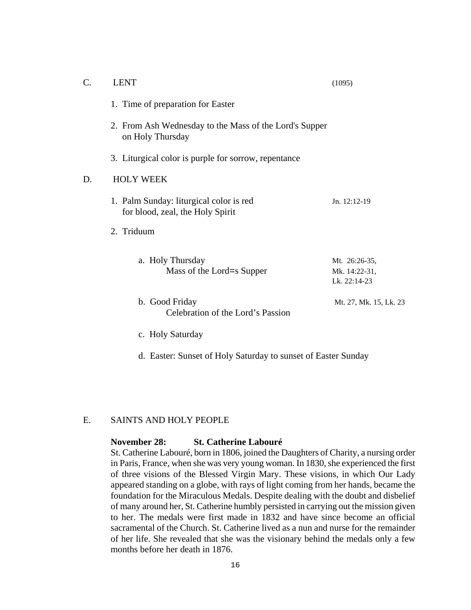| $\mathcal{C}$ . | <b>LENT</b>                                                                 | (1095)                                         |
|-----------------|-----------------------------------------------------------------------------|------------------------------------------------|
|                 | 1. Time of preparation for Easter                                           |                                                |
|                 | 2. From Ash Wednesday to the Mass of the Lord's Supper<br>on Holy Thursday  |                                                |
|                 | 3. Liturgical color is purple for sorrow, repentance                        |                                                |
| D.              | <b>HOLY WEEK</b>                                                            |                                                |
|                 | 1. Palm Sunday: liturgical color is red<br>for blood, zeal, the Holy Spirit | Jn. 12:12-19                                   |
|                 | 2. Triduum                                                                  |                                                |
|                 | a. Holy Thursday<br>Mass of the Lord=s Supper                               | Mt. 26:26-35,<br>Mk. 14:22-31,<br>Lk. 22:14-23 |
|                 | b. Good Friday<br>Celebration of the Lord's Passion                         | Mt. 27, Mk. 15, Lk. 23                         |
|                 | c. Holy Saturday                                                            |                                                |

d. Easter: Sunset of Holy Saturday to sunset of Easter Sunday

### E. SAINTS AND HOLY PEOPLE

#### **November 28: St. Catherine Labouré**

St. Catherine Labouré, born in 1806, joined the Daughters of Charity, a nursing order in Paris, France, when she was very young woman. In 1830, she experienced the first of three visions of the Blessed Virgin Mary. These visions, in which Our Lady appeared standing on a globe, with rays of light coming from her hands, became the foundation for the Miraculous Medals. Despite dealing with the doubt and disbelief of many around her, St. Catherine humbly persisted in carrying out the mission given to her. The medals were first made in 1832 and have since become an official sacramental of the Church. St. Catherine lived as a nun and nurse for the remainder of her life. She revealed that she was the visionary behind the medals only a few months before her death in 1876.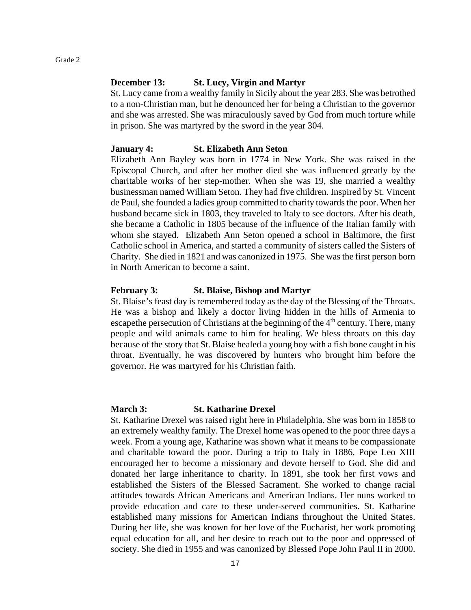#### **December 13: St. Lucy, Virgin and Martyr**

St. Lucy came from a wealthy family in Sicily about the year 283. She was betrothed to a non-Christian man, but he denounced her for being a Christian to the governor and she was arrested. She was miraculously saved by God from much torture while in prison. She was martyred by the sword in the year 304.

#### **January 4: St. Elizabeth Ann Seton**

Elizabeth Ann Bayley was born in 1774 in New York. She was raised in the Episcopal Church, and after her mother died she was influenced greatly by the charitable works of her step-mother. When she was 19, she married a wealthy businessman named William Seton. They had five children. Inspired by St. Vincent de Paul, she founded a ladies group committed to charity towards the poor. When her husband became sick in 1803, they traveled to Italy to see doctors. After his death, she became a Catholic in 1805 because of the influence of the Italian family with whom she stayed. Elizabeth Ann Seton opened a school in Baltimore, the first Catholic school in America, and started a community of sisters called the Sisters of Charity. She died in 1821 and was canonized in 1975. She was the first person born in North American to become a saint.

#### **February 3: St. Blaise, Bishop and Martyr**

St. Blaise's feast day is remembered today as the day of the Blessing of the Throats. He was a bishop and likely a doctor living hidden in the hills of Armenia to escapethe persecution of Christians at the beginning of the 4<sup>th</sup> century. There, many people and wild animals came to him for healing. We bless throats on this day because of the story that St. Blaise healed a young boy with a fish bone caught in his throat. Eventually, he was discovered by hunters who brought him before the governor. He was martyred for his Christian faith.

#### **March 3: St. Katharine Drexel**

St. Katharine Drexel was raised right here in Philadelphia. She was born in 1858 to an extremely wealthy family. The Drexel home was opened to the poor three days a week. From a young age, Katharine was shown what it means to be compassionate and charitable toward the poor. During a trip to Italy in 1886, Pope Leo XIII encouraged her to become a missionary and devote herself to God. She did and donated her large inheritance to charity. In 1891, she took her first vows and established the Sisters of the Blessed Sacrament. She worked to change racial attitudes towards African Americans and American Indians. Her nuns worked to provide education and care to these under-served communities. St. Katharine established many missions for American Indians throughout the United States. During her life, she was known for her love of the Eucharist, her work promoting equal education for all, and her desire to reach out to the poor and oppressed of society. She died in 1955 and was canonized by Blessed Pope John Paul II in 2000.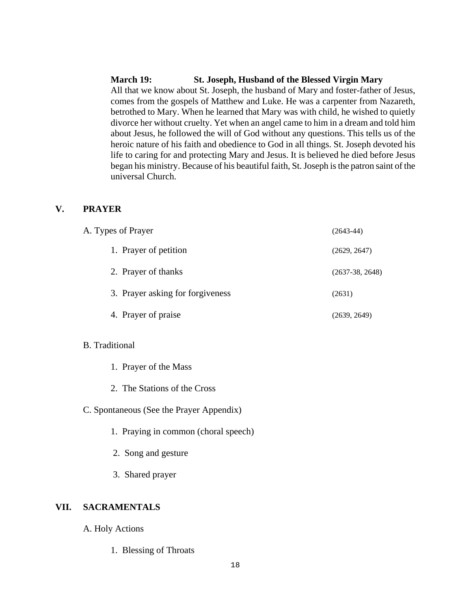#### **March 19: St. Joseph, Husband of the Blessed Virgin Mary**

All that we know about St. Joseph, the husband of Mary and foster-father of Jesus, comes from the gospels of Matthew and Luke. He was a carpenter from Nazareth, betrothed to Mary. When he learned that Mary was with child, he wished to quietly divorce her without cruelty. Yet when an angel came to him in a dream and told him about Jesus, he followed the will of God without any questions. This tells us of the heroic nature of his faith and obedience to God in all things. St. Joseph devoted his life to caring for and protecting Mary and Jesus. It is believed he died before Jesus began his ministry. Because of his beautiful faith, St. Joseph is the patron saint of the universal Church.

#### **V. PRAYER**

| A. Types of Prayer               | $(2643-44)$       |
|----------------------------------|-------------------|
| 1. Prayer of petition            | (2629, 2647)      |
| 2. Prayer of thanks              | $(2637-38, 2648)$ |
| 3. Prayer asking for forgiveness | (2631)            |
| 4. Prayer of praise              | (2639, 2649)      |

#### B. Traditional

|  |  | 1. Prayer of the Mass |  |
|--|--|-----------------------|--|
|--|--|-----------------------|--|

- 2. The Stations of the Cross
- C. Spontaneous (See the Prayer Appendix)
	- 1. Praying in common (choral speech)
	- 2. Song and gesture
	- 3. Shared prayer

#### **VII. SACRAMENTALS**

- A. Holy Actions
	- 1. Blessing of Throats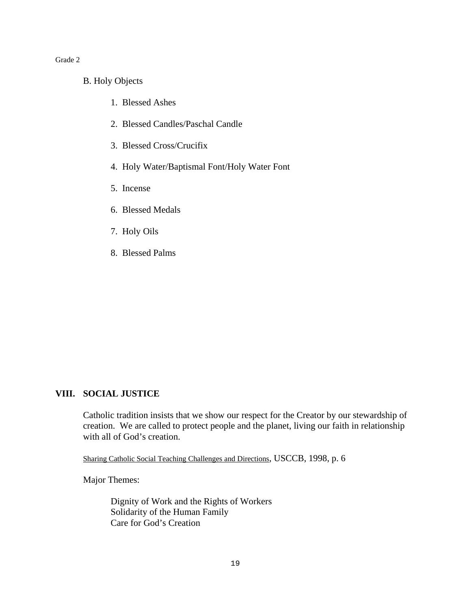- B. Holy Objects
	- 1. Blessed Ashes
	- 2. Blessed Candles/Paschal Candle
	- 3. Blessed Cross/Crucifix
	- 4. Holy Water/Baptismal Font/Holy Water Font
	- 5. Incense
	- 6. Blessed Medals
	- 7. Holy Oils
	- 8. Blessed Palms

#### **VIII. SOCIAL JUSTICE**

Catholic tradition insists that we show our respect for the Creator by our stewardship of creation. We are called to protect people and the planet, living our faith in relationship with all of God's creation.

Sharing Catholic Social Teaching Challenges and Directions, USCCB, 1998, p. 6

Major Themes:

Dignity of Work and the Rights of Workers Solidarity of the Human Family Care for God's Creation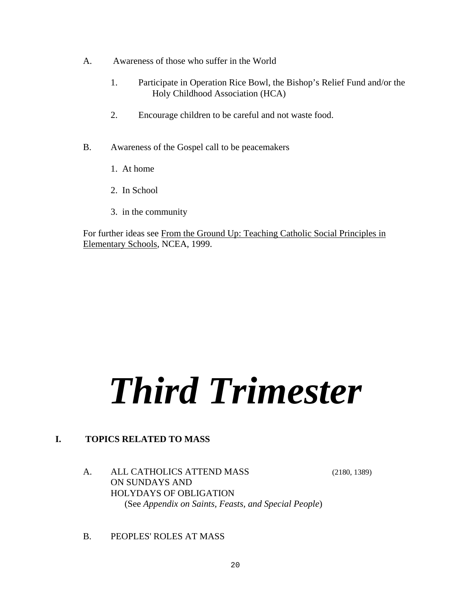- A. Awareness of those who suffer in the World
	- 1. Participate in Operation Rice Bowl, the Bishop's Relief Fund and/or the Holy Childhood Association (HCA)
	- 2. Encourage children to be careful and not waste food.
- B. Awareness of the Gospel call to be peacemakers
	- 1. At home
	- 2. In School
	- 3. in the community

For further ideas see From the Ground Up: Teaching Catholic Social Principles in Elementary Schools, NCEA, 1999.

# *Third Trimester*

## **I. TOPICS RELATED TO MASS**

## A. ALL CATHOLICS ATTEND MASS (2180, 1389) ON SUNDAYS AND HOLYDAYS OF OBLIGATION (See *Appendix on Saints, Feasts, and Special People*)

B. PEOPLES' ROLES AT MASS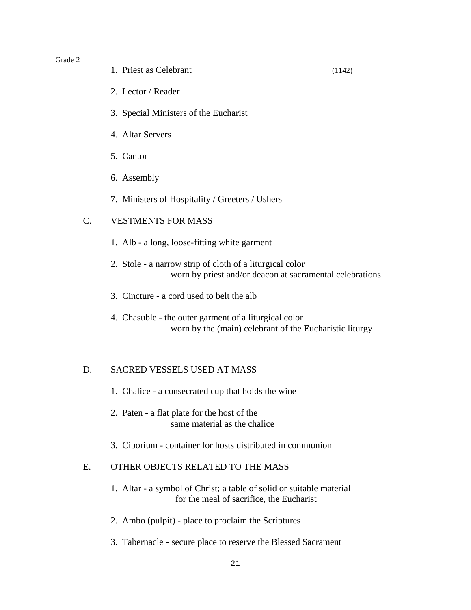- 1. Priest as Celebrant (1142)
- 2. Lector / Reader
- 3. Special Ministers of the Eucharist
- 4. Altar Servers
- 5. Cantor
- 6. Assembly
- 7. Ministers of Hospitality / Greeters / Ushers

#### C. VESTMENTS FOR MASS

- 1. Alb a long, loose-fitting white garment
- 2. Stole a narrow strip of cloth of a liturgical color worn by priest and/or deacon at sacramental celebrations
- 3. Cincture a cord used to belt the alb
- 4. Chasuble the outer garment of a liturgical color worn by the (main) celebrant of the Eucharistic liturgy

#### D. SACRED VESSELS USED AT MASS

- 1. Chalice a consecrated cup that holds the wine
- 2. Paten a flat plate for the host of the same material as the chalice
- 3. Ciborium container for hosts distributed in communion

## E. OTHER OBJECTS RELATED TO THE MASS

- 1. Altar a symbol of Christ; a table of solid or suitable material for the meal of sacrifice, the Eucharist
- 2. Ambo (pulpit) place to proclaim the Scriptures
- 3. Tabernacle secure place to reserve the Blessed Sacrament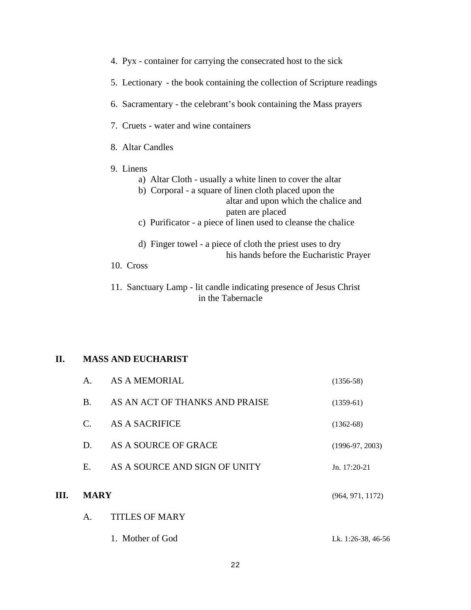| 4. Pyx - container for carrying the consecrated host to the sick                                                                                                                                                                                             |
|--------------------------------------------------------------------------------------------------------------------------------------------------------------------------------------------------------------------------------------------------------------|
| 5. Lectionary - the book containing the collection of Scripture readings                                                                                                                                                                                     |
| 6. Sacramentary - the celebrant's book containing the Mass prayers                                                                                                                                                                                           |
| 7. Cruets - water and wine containers                                                                                                                                                                                                                        |
| 8. Altar Candles                                                                                                                                                                                                                                             |
| 9. Linens<br>a) Altar Cloth - usually a white linen to cover the altar<br>b) Corporal - a square of linen cloth placed upon the<br>altar and upon which the chalice and<br>paten are placed<br>c) Purificator - a piece of linen used to cleanse the chalice |
| d) Finger towel - a piece of cloth the priest uses to dry<br>his hands before the Eucharistic Prayer                                                                                                                                                         |
| 10. Cross                                                                                                                                                                                                                                                    |
| 11. Sanctuary Lamp - lit candle indicating presence of Jesus Christ<br>in the Tabernacle                                                                                                                                                                     |

## **II. MASS AND EUCHARIST**

|      |                | 1. Mother of God               | Lk. 1:26-38, 46-56 |
|------|----------------|--------------------------------|--------------------|
|      | $\mathsf{A}$ . | <b>TITLES OF MARY</b>          |                    |
| III. | <b>MARY</b>    |                                | (964, 971, 1172)   |
|      | Е.             | AS A SOURCE AND SIGN OF UNITY  | $Jn. 17:20-21$     |
|      | D.             | AS A SOURCE OF GRACE           | $(1996-97, 2003)$  |
|      | $\mathsf{C}$   | AS A SACRIFICE                 | $(1362-68)$        |
|      | $\bf{B}$       | AS AN ACT OF THANKS AND PRAISE | $(1359-61)$        |
|      | $\mathsf{A}$ . | <b>AS A MEMORIAL</b>           | $(1356-58)$        |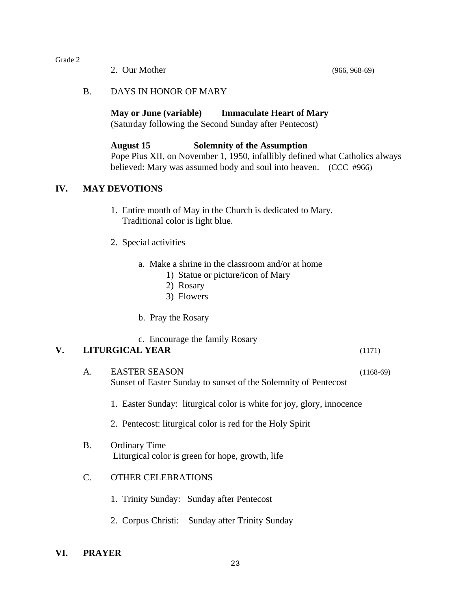2. Our Mother (966, 968-69)

#### B. DAYS IN HONOR OF MARY

**May or June (variable) Immaculate Heart of Mary**  (Saturday following the Second Sunday after Pentecost)

#### **August 15 Solemnity of the Assumption**

Pope Pius XII, on November 1, 1950, infallibly defined what Catholics always believed: Mary was assumed body and soul into heaven. (CCC #966)

## **IV. MAY DEVOTIONS**

- 1. Entire month of May in the Church is dedicated to Mary. Traditional color is light blue.
- 2. Special activities
	- a. Make a shrine in the classroom and/or at home
		- 1) Statue or picture/icon of Mary
		- 2) Rosary
		- 3) Flowers
	- b. Pray the Rosary

c. Encourage the family Rosary

#### **V. LITURGICAL YEAR** (1171)

A. EASTER SEASON (1168-69) Sunset of Easter Sunday to sunset of the Solemnity of Pentecost

1. Easter Sunday: liturgical color is white for joy, glory, innocence

- 2. Pentecost: liturgical color is red for the Holy Spirit
- B. Ordinary Time Liturgical color is green for hope, growth, life

#### C. OTHER CELEBRATIONS

- 1. Trinity Sunday: Sunday after Pentecost
- 2. Corpus Christi: Sunday after Trinity Sunday

#### **VI. PRAYER**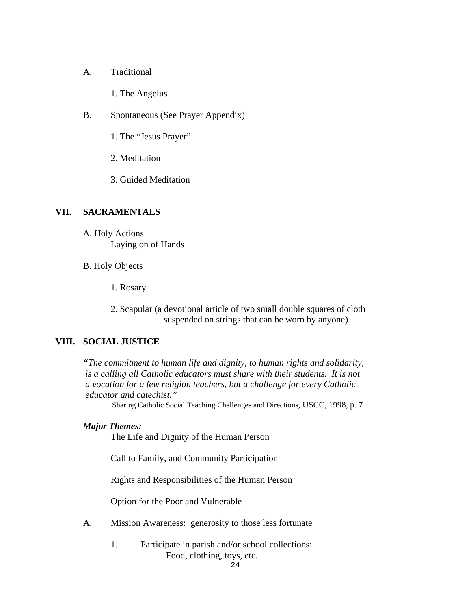- A. Traditional
	- 1. The Angelus
- B. Spontaneous (See Prayer Appendix)
	- 1. The "Jesus Prayer"
	- 2. Meditation
	- 3. Guided Meditation

#### **VII. SACRAMENTALS**

- A. Holy Actions Laying on of Hands
- B. Holy Objects
	- 1. Rosary
	- 2. Scapular (a devotional article of two small double squares of cloth suspended on strings that can be worn by anyone)

## **VIII. SOCIAL JUSTICE**

*"The commitment to human life and dignity, to human rights and solidarity, is a calling all Catholic educators must share with their students. It is not a vocation for a few religion teachers, but a challenge for every Catholic educator and catechist."*

Sharing Catholic Social Teaching Challenges and Directions*,* USCC, 1998, p. 7

#### *Major Themes:*

The Life and Dignity of the Human Person

Call to Family, and Community Participation

Rights and Responsibilities of the Human Person

Option for the Poor and Vulnerable

- A. Mission Awareness: generosity to those less fortunate
	- 1. Participate in parish and/or school collections: Food, clothing, toys, etc.